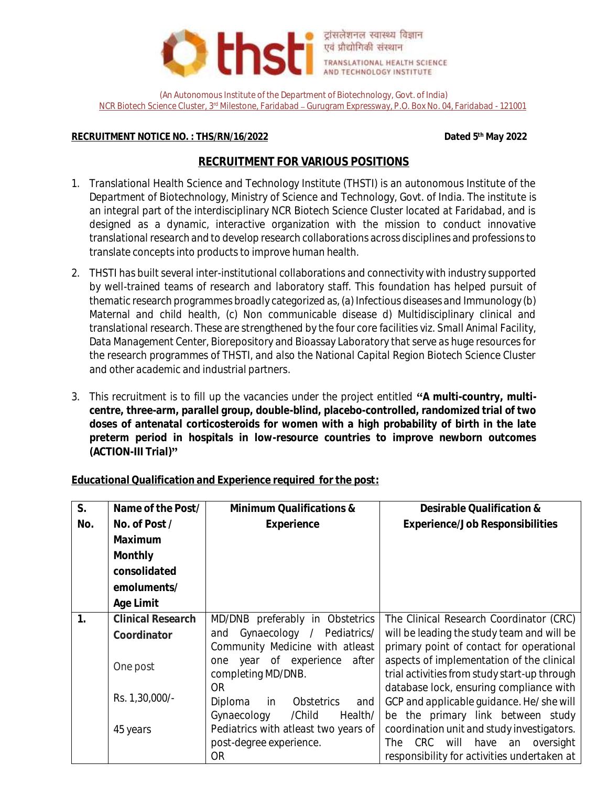

(An Autonomous Institute of the Department of Biotechnology, Govt. of India) NCR Biotech Science Cluster, 3rd Milestone, Faridabad Gurugram Expressway, P.O. Box No. 04, Faridabad - 121001

## **RECRUITMENT NOTICE NO.: THS/RN/16/2022**

**th May 2022**

## **RECRUITMENT FOR VARIOUS POSITIONS**

- 1. Translational Health Science and Technology Institute (THSTI) is an autonomous Institute of the Department of Biotechnology, Ministry of Science and Technology, Govt. of India. The institute is an integral part of the interdisciplinary NCR Biotech Science Cluster located at Faridabad, and is designed as a dynamic, interactive organization with the mission to conduct innovative translational research and to develop research collaborations across disciplines and professions to translate concepts into products to improve human health.
- 2. THSTI has built several inter-institutional collaborations and connectivity with industry supported by well-trained teams of research and laboratory staff. This foundation has helped pursuit of thematic research programmes broadly categorized as, (a) Infectious diseases and Immunology (b) Maternal and child health, (c) Non communicable disease d) Multidisciplinary clinical and translational research. These are strengthened by the four core facilities viz. Small Animal Facility, Data Management Center, Biorepository and Bioassay Laboratory that serve as huge resources for the research programmes of THSTI, and also the National Capital Region Biotech Science Cluster and other academic and industrial partners.
- 3. This recruitment is to fill up the vacancies under the project entitled "A multi-country, multi**centre, three-arm, parallel group, double-blind, placebo-controlled, randomized trial of two doses of antenatal corticosteroids for women with a high probability of birth in the late preterm period in hospitals in low-resource countries to improve newborn outcomes (ACTION-III Trial)**

**Educational Qualification and Experience required for the post:**

| S.  | Name of the Post/        | Minimum Qualifications &              | Desirable Qualification &                     |
|-----|--------------------------|---------------------------------------|-----------------------------------------------|
| No. | No. of Post /            | Experience                            | Experience/Job Responsibilities               |
|     | Maximum                  |                                       |                                               |
|     | Monthly                  |                                       |                                               |
|     | consolidated             |                                       |                                               |
|     | emoluments/              |                                       |                                               |
|     | Age Limit                |                                       |                                               |
|     | <b>Clinical Research</b> | MD/DNB preferably in Obstetrics       | The Clinical Research Coordinator (CRC)       |
|     | Coordinator              | Gynaecology /<br>Pediatrics/<br>and   | will be leading the study team and will be    |
|     |                          | Community Medicine with atleast       | primary point of contact for operational      |
|     | One post                 | of experience<br>after<br>year<br>one | aspects of implementation of the clinical     |
|     |                          | completing MD/DNB.                    | trial activities from study start-up through  |
|     | Rs. 1,30,000/-           | 0R                                    | database lock, ensuring compliance with       |
|     |                          | Diploma<br>Obstetrics<br>in<br>and    | GCP and applicable quidance. He/she will      |
|     |                          | /Child<br>Health/<br>Gynaecology      | be the primary link between study             |
|     | 45 years                 | Pediatrics with atleast two years of  | coordination unit and study investigators.    |
|     |                          | post-degree experience.               | CRC<br>will<br>have<br>The<br>an<br>oversight |
|     |                          | ΟR                                    | responsibility for activities undertaken at   |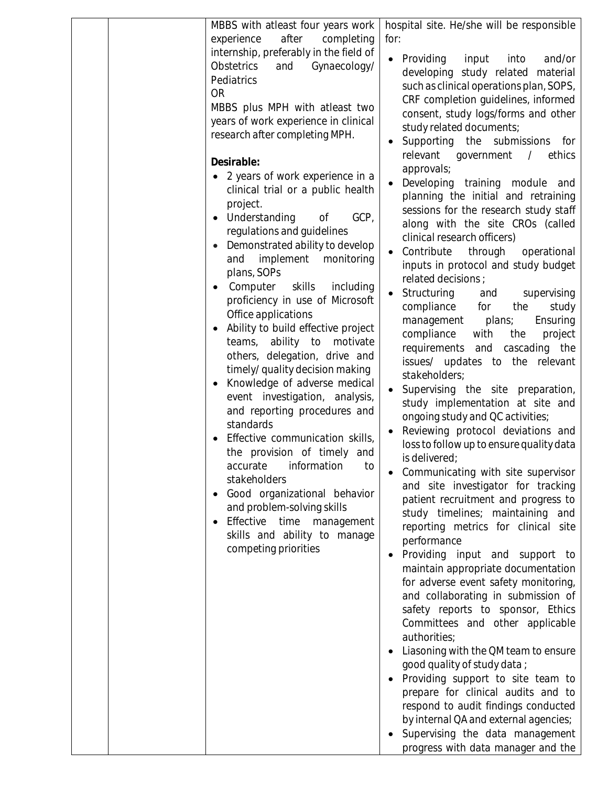| MBBS with atleast four years work                                                                                                                                                                                                                                                                                                                                                                                                                                                                                                                                                                                                                                                                                                                                                                                                                                                                                                                                                                                                                                                                                                                          | hospital site. He/she will be responsible                                                                                                                                                                                                                                                                                                                                                                                                                                                                                                                                                                                                                                                                                                                                                                                                                                                                                                                                                                                                                                                                                                                                                                                                                                                                                                                                                                                                                                                                                                           |
|------------------------------------------------------------------------------------------------------------------------------------------------------------------------------------------------------------------------------------------------------------------------------------------------------------------------------------------------------------------------------------------------------------------------------------------------------------------------------------------------------------------------------------------------------------------------------------------------------------------------------------------------------------------------------------------------------------------------------------------------------------------------------------------------------------------------------------------------------------------------------------------------------------------------------------------------------------------------------------------------------------------------------------------------------------------------------------------------------------------------------------------------------------|-----------------------------------------------------------------------------------------------------------------------------------------------------------------------------------------------------------------------------------------------------------------------------------------------------------------------------------------------------------------------------------------------------------------------------------------------------------------------------------------------------------------------------------------------------------------------------------------------------------------------------------------------------------------------------------------------------------------------------------------------------------------------------------------------------------------------------------------------------------------------------------------------------------------------------------------------------------------------------------------------------------------------------------------------------------------------------------------------------------------------------------------------------------------------------------------------------------------------------------------------------------------------------------------------------------------------------------------------------------------------------------------------------------------------------------------------------------------------------------------------------------------------------------------------------|
| after<br>experience<br>completing<br>internship, preferably in the field of<br>Obstetrics<br>Gynaecology/<br>and<br>Pediatrics<br><b>OR</b><br>MBBS plus MPH with atleast two<br>years of work experience in clinical<br>research after completing MPH.<br>Desirable:<br>• 2 years of work experience in a<br>clinical trial or a public health<br>project.<br>GCP,<br>Understanding<br>Оf<br>regulations and guidelines<br>Demonstrated ability to develop<br>and implement monitoring<br>plans, SOPs<br>Computer<br>skills<br>including<br>$\bullet$<br>proficiency in use of Microsoft<br>Office applications<br>Ability to build effective project<br>teams, ability to motivate<br>others, delegation, drive and<br>timely/ quality decision making<br>Knowledge of adverse medical<br>$\bullet$<br>event investigation, analysis,<br>and reporting procedures and<br>standards<br>Effective communication skills,<br>the provision of timely and<br>accurate<br>information<br>to<br>stakeholders<br>Good organizational behavior<br>and problem-solving skills<br>Effective time management<br>skills and ability to manage<br>competing priorities | for:<br>Providing<br>input<br>into<br>and/or<br>developing study related material<br>such as clinical operations plan, SOPS,<br>CRF completion guidelines, informed<br>consent, study logs/forms and other<br>study related documents;<br>Supporting the submissions for<br>relevant government<br>$\frac{1}{2}$<br>ethics<br>approvals;<br>Developing training module and<br>planning the initial and retraining<br>sessions for the research study staff<br>along with the site CROs (called<br>clinical research officers)<br>Contribute<br>through<br>operational<br>inputs in protocol and study budget<br>related decisions :<br>Structuring<br>supervising<br>and<br>compliance for<br>the<br>study<br>Ensuring<br>management<br>plans;<br>compliance<br>with<br>the<br>project<br>requirements and cascading the<br>issues/ updates to the relevant<br>stakeholders;<br>Supervising the site preparation,<br>study implementation at site and<br>ongoing study and QC activities;<br>Reviewing protocol deviations and<br>loss to follow up to ensure quality data<br>is delivered;<br>Communicating with site supervisor<br>and site investigator for tracking<br>patient recruitment and progress to<br>study timelines; maintaining and<br>reporting metrics for clinical site<br>performance<br>Providing input and support to<br>$\bullet$<br>maintain appropriate documentation<br>for adverse event safety monitoring,<br>and collaborating in submission of<br>safety reports to sponsor, Ethics<br>Committees and other applicable |
|                                                                                                                                                                                                                                                                                                                                                                                                                                                                                                                                                                                                                                                                                                                                                                                                                                                                                                                                                                                                                                                                                                                                                            | authorities;<br>Liasoning with the QM team to ensure<br>good quality of study data;<br>Providing support to site team to<br>prepare for clinical audits and to<br>respond to audit findings conducted<br>by internal QA and external agencies;<br>Supervising the data management<br>progress with data manager and the                                                                                                                                                                                                                                                                                                                                                                                                                                                                                                                                                                                                                                                                                                                                                                                                                                                                                                                                                                                                                                                                                                                                                                                                                             |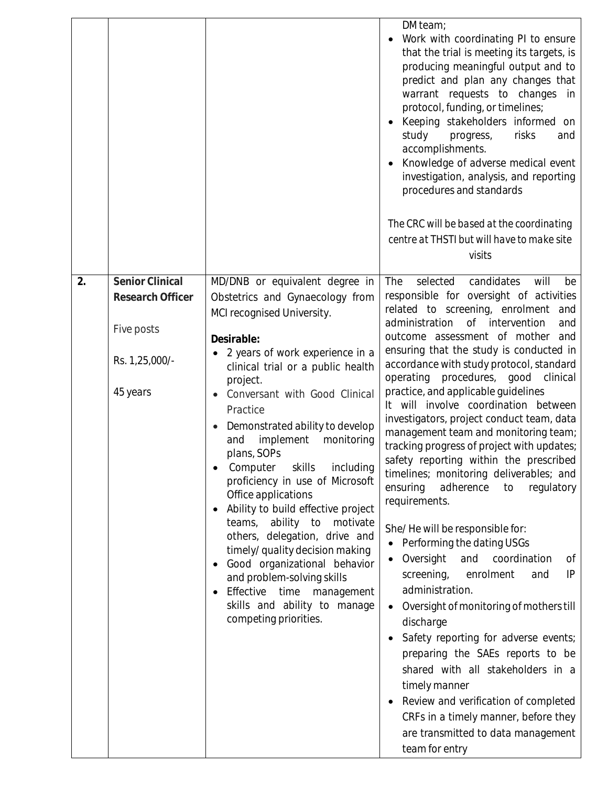|    |                                                                                 |                                                                                                                                                                                                                                                                                                                                                                                                                                                                                                                                                                                                                                                                                                                          | DM team;<br>Work with coordinating PI to ensure<br>that the trial is meeting its targets, is<br>producing meaningful output and to<br>predict and plan any changes that<br>warrant requests to changes in<br>protocol, funding, or timelines;<br>Keeping stakeholders informed on<br>study<br>risks<br>progress,<br>and<br>accomplishments.<br>Knowledge of adverse medical event<br>investigation, analysis, and reporting<br>procedures and standards<br>The CRC will be based at the coordinating<br>centre at THSTI but will have to make site<br>visits                                                                                                                                                                                                                                                                                                                                                                                                                                                                                                                                                                                                                                                                      |
|----|---------------------------------------------------------------------------------|--------------------------------------------------------------------------------------------------------------------------------------------------------------------------------------------------------------------------------------------------------------------------------------------------------------------------------------------------------------------------------------------------------------------------------------------------------------------------------------------------------------------------------------------------------------------------------------------------------------------------------------------------------------------------------------------------------------------------|-----------------------------------------------------------------------------------------------------------------------------------------------------------------------------------------------------------------------------------------------------------------------------------------------------------------------------------------------------------------------------------------------------------------------------------------------------------------------------------------------------------------------------------------------------------------------------------------------------------------------------------------------------------------------------------------------------------------------------------------------------------------------------------------------------------------------------------------------------------------------------------------------------------------------------------------------------------------------------------------------------------------------------------------------------------------------------------------------------------------------------------------------------------------------------------------------------------------------------------|
| 2. | Senior Clinical<br>Research Officer<br>Five posts<br>Rs. 1,25,000/-<br>45 years | MD/DNB or equivalent degree in<br>Obstetrics and Gynaecology from<br>MCI recognised University.<br>Desirable:<br>2 years of work experience in a<br>clinical trial or a public health<br>project.<br>Conversant with Good Clinical<br>Practice<br>Demonstrated ability to develop<br>implement<br>monitoring<br>and<br>plans, SOPs<br>Computer skills including<br>proficiency in use of Microsoft<br>Office applications<br>Ability to build effective project<br>teams, ability to<br>motivate<br>others, delegation, drive and<br>timely/ quality decision making<br>Good organizational behavior<br>and problem-solving skills<br>Effective time management<br>skills and ability to manage<br>competing priorities. | candidates<br>The<br>selected<br>will<br>be<br>responsible for oversight of activities<br>related to screening, enrolment<br>and<br>administration<br>of intervention<br>and<br>outcome assessment of mother<br>and<br>ensuring that the study is conducted in<br>accordance with study protocol, standard<br>operating<br>procedures, good clinical<br>practice, and applicable guidelines<br>It will involve coordination between<br>investigators, project conduct team, data<br>management team and monitoring team;<br>tracking progress of project with updates;<br>safety reporting within the prescribed<br>timelines; monitoring deliverables; and<br>ensuring<br>adherence<br>regulatory<br>to<br>requirements.<br>She/He will be responsible for:<br>Performing the dating USGs<br>Oversight<br>coordination<br>and<br>Оf<br>screening,<br>IP<br>enrolment<br>and<br>administration.<br>Oversight of monitoring of mothers till<br>discharge<br>Safety reporting for adverse events;<br>preparing the SAEs reports to be<br>shared with all stakeholders in a<br>timely manner<br>Review and verification of completed<br>CRFs in a timely manner, before they<br>are transmitted to data management<br>team for entry |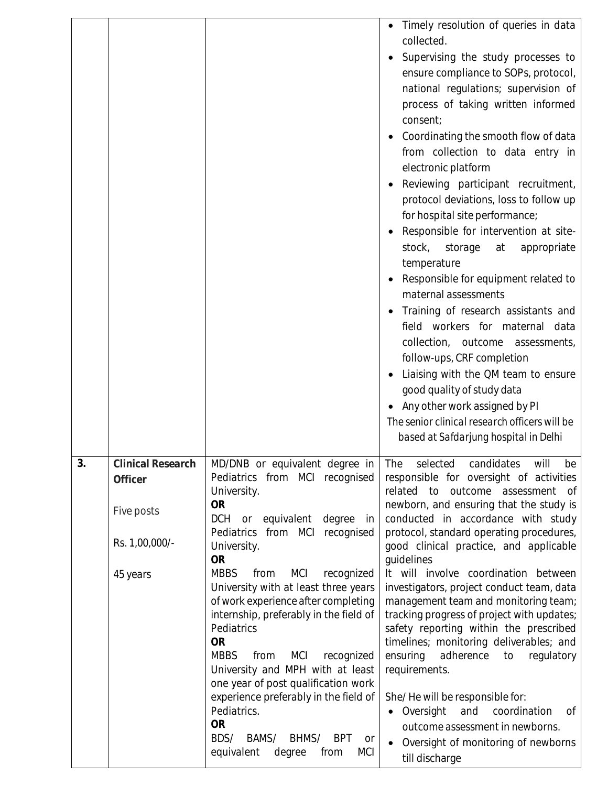|    |                                                                          |                                                                                                                                                                                                                                                                                                                                                                                                                                                                                                                                                                                                                                                                                                             | Timely resolution of queries in data<br>collected.<br>Supervising the study processes to<br>ensure compliance to SOPs, protocol,<br>national regulations; supervision of<br>process of taking written informed<br>consent;<br>Coordinating the smooth flow of data<br>from collection to data entry in<br>electronic platform<br>Reviewing participant recruitment,<br>protocol deviations, loss to follow up<br>for hospital site performance;<br>Responsible for intervention at site-<br>stock,<br>storage<br>appropriate<br>at<br>temperature<br>Responsible for equipment related to<br>maternal assessments<br>Training of research assistants and<br>field workers for maternal data<br>collection, outcome assessments,<br>follow-ups, CRF completion<br>Liaising with the QM team to ensure<br>good quality of study data<br>Any other work assigned by PI<br>The senior clinical research officers will be<br>based at Safdarjung hospital in Delhi |
|----|--------------------------------------------------------------------------|-------------------------------------------------------------------------------------------------------------------------------------------------------------------------------------------------------------------------------------------------------------------------------------------------------------------------------------------------------------------------------------------------------------------------------------------------------------------------------------------------------------------------------------------------------------------------------------------------------------------------------------------------------------------------------------------------------------|---------------------------------------------------------------------------------------------------------------------------------------------------------------------------------------------------------------------------------------------------------------------------------------------------------------------------------------------------------------------------------------------------------------------------------------------------------------------------------------------------------------------------------------------------------------------------------------------------------------------------------------------------------------------------------------------------------------------------------------------------------------------------------------------------------------------------------------------------------------------------------------------------------------------------------------------------------------|
| 3. | Clinical Research<br>Officer<br>Five posts<br>Rs. 1,00,000/-<br>45 years | MD/DNB or equivalent degree in<br>Pediatrics from MCI recognised<br>University.<br><b>OR</b><br>DCH<br>or equivalent<br>degree<br>in<br>Pediatrics from MCI<br>recognised<br>University.<br><b>OR</b><br><b>MBBS</b><br>from<br><b>MCI</b><br>recognized<br>University with at least three years<br>of work experience after completing<br>internship, preferably in the field of<br>Pediatrics<br><b>OR</b><br><b>MBBS</b><br><b>MCI</b><br>from<br>recognized<br>University and MPH with at least<br>one year of post qualification work<br>experience preferably in the field of<br>Pediatrics.<br><b>OR</b><br>BDS/<br>BAMS/<br>BHMS/<br><b>BPT</b><br>or<br>equivalent<br><b>MCI</b><br>degree<br>from | The<br>candidates will<br>selected<br>pe<br>responsible for oversight of activities<br>related to outcome assessment<br>of<br>newborn, and ensuring that the study is<br>conducted in accordance with study<br>protocol, standard operating procedures,<br>good clinical practice, and applicable<br>quidelines<br>It will involve coordination between<br>investigators, project conduct team, data<br>management team and monitoring team;<br>tracking progress of project with updates;<br>safety reporting within the prescribed<br>timelines; monitoring deliverables; and<br>ensuring<br>adherence<br>regulatory<br>to<br>requirements.<br>She/He will be responsible for:<br>• Oversight<br>coordination<br>and<br>Оf<br>outcome assessment in newborns.<br>Oversight of monitoring of newborns<br>till discharge                                                                                                                                      |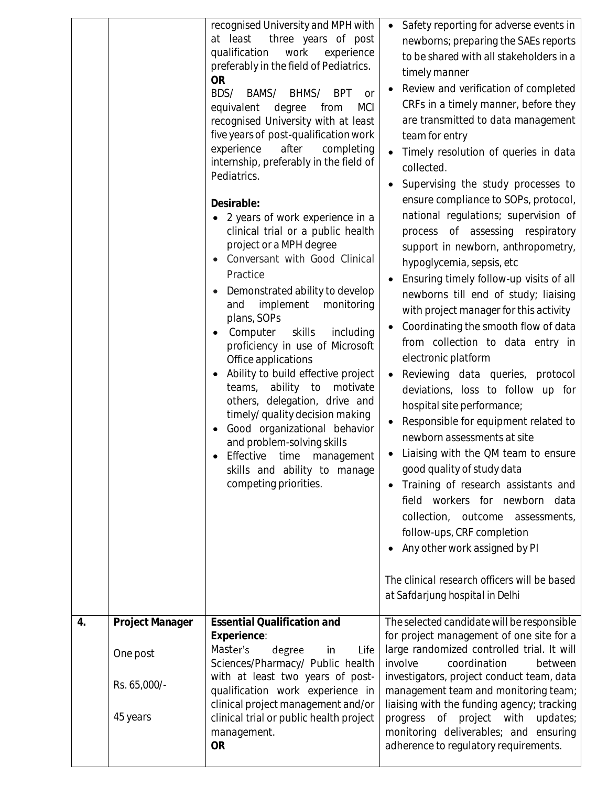|    |                                                         | recognised University and MPH with<br>at least<br>three years of post<br>qualification<br>work<br>experience<br>preferably in the field of Pediatrics.<br><b>OR</b><br>BDS/<br>BAMS/<br>BHMS/<br><b>BPT</b><br><b>or</b><br>equivalent<br>degree<br><b>MCI</b><br>from<br>recognised University with at least<br>five years of post-qualification work<br>experience<br>after<br>completing<br>internship, preferably in the field of<br>Pediatrics.<br>Desirable:<br>2 years of work experience in a<br>clinical trial or a public health<br>project or a MPH degree<br>Conversant with Good Clinical<br>Practice<br>Demonstrated ability to develop<br>and implement monitoring<br>plans, SOPs<br>Computer<br>skills<br>including<br>proficiency in use of Microsoft<br>Office applications<br>Ability to build effective project<br>teams, ability to motivate<br>others, delegation, drive and<br>timely/ quality decision making<br>Good organizational behavior<br>and problem-solving skills<br>Effective time management<br>skills and ability to manage<br>competing priorities. | Safety reporting for adverse events in<br>$\bullet$<br>newborns; preparing the SAEs reports<br>to be shared with all stakeholders in a<br>timely manner<br>Review and verification of completed<br>CRFs in a timely manner, before they<br>are transmitted to data management<br>team for entry<br>Timely resolution of queries in data<br>collected.<br>Supervising the study processes to<br>ensure compliance to SOPs, protocol,<br>national regulations; supervision of<br>process of assessing respiratory<br>support in newborn, anthropometry,<br>hypoglycemia, sepsis, etc<br>Ensuring timely follow-up visits of all<br>newborns till end of study; liaising<br>with project manager for this activity<br>Coordinating the smooth flow of data<br>from collection to data entry in<br>electronic platform<br>Reviewing data queries, protocol<br>deviations, loss to follow up for<br>hospital site performance;<br>Responsible for equipment related to<br>newborn assessments at site<br>Liaising with the QM team to ensure<br>good quality of study data<br>Training of research assistants and<br>field workers for newborn data<br>collection, outcome assessments,<br>follow-ups, CRF completion<br>Any other work assigned by PI<br>The clinical research officers will be based<br>at Safdarjung hospital in Delhi |
|----|---------------------------------------------------------|-------------------------------------------------------------------------------------------------------------------------------------------------------------------------------------------------------------------------------------------------------------------------------------------------------------------------------------------------------------------------------------------------------------------------------------------------------------------------------------------------------------------------------------------------------------------------------------------------------------------------------------------------------------------------------------------------------------------------------------------------------------------------------------------------------------------------------------------------------------------------------------------------------------------------------------------------------------------------------------------------------------------------------------------------------------------------------------------|--------------------------------------------------------------------------------------------------------------------------------------------------------------------------------------------------------------------------------------------------------------------------------------------------------------------------------------------------------------------------------------------------------------------------------------------------------------------------------------------------------------------------------------------------------------------------------------------------------------------------------------------------------------------------------------------------------------------------------------------------------------------------------------------------------------------------------------------------------------------------------------------------------------------------------------------------------------------------------------------------------------------------------------------------------------------------------------------------------------------------------------------------------------------------------------------------------------------------------------------------------------------------------------------------------------------------------------|
| 4. | Project Manager<br>One post<br>Rs. 65,000/-<br>45 years | Essential Qualification and<br>Experience:<br>Master's<br>degree<br>Life<br>in<br>Sciences/Pharmacy/ Public health<br>with at least two years of post-<br>qualification work experience in<br>clinical project management and/or<br>clinical trial or public health project<br>management.<br><b>OR</b>                                                                                                                                                                                                                                                                                                                                                                                                                                                                                                                                                                                                                                                                                                                                                                                   | The selected candidate will be responsible<br>for project management of one site for a<br>large randomized controlled trial. It will<br>involve<br>coordination<br>between<br>investigators, project conduct team, data<br>management team and monitoring team;<br>liaising with the funding agency; tracking<br>progress of project with<br>updates;<br>monitoring deliverables; and ensuring<br>adherence to regulatory requirements.                                                                                                                                                                                                                                                                                                                                                                                                                                                                                                                                                                                                                                                                                                                                                                                                                                                                                              |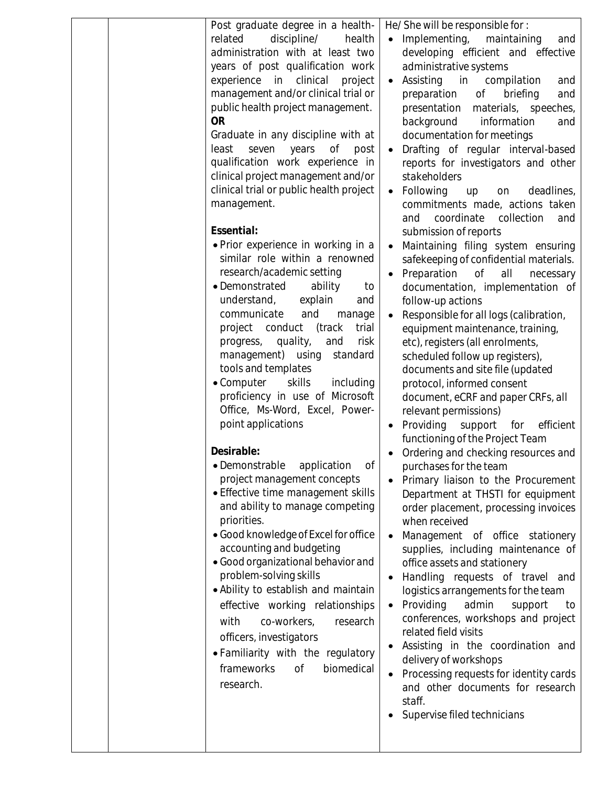| Post graduate degree in a health-         | He/She will be responsible for:                    |
|-------------------------------------------|----------------------------------------------------|
| related<br>discipline/<br>health          | • Implementing,<br>maintaining<br>and              |
| administration with at least two          |                                                    |
|                                           | developing efficient and effective                 |
| years of post qualification work          | administrative systems                             |
| experience in clinical project            | Assisting in compilation<br>and<br>$\bullet$       |
| management and/or clinical trial or       | preparation<br>briefing<br>of<br>and               |
| public health project management.         | presentation<br>materials, speeches,               |
| <b>OR</b>                                 | background<br>information<br>and                   |
| Graduate in any discipline with at        | documentation for meetings                         |
| least<br>Οf<br>seven<br>years<br>post     | Drafting of regular interval-based                 |
| qualification work experience in          |                                                    |
|                                           | reports for investigators and other                |
| clinical project management and/or        | stakeholders                                       |
| clinical trial or public health project   | Following<br>deadlines,<br>up<br>on<br>$\bullet$   |
| management.                               | commitments made, actions taken                    |
|                                           | coordinate<br>collection<br>and<br>and             |
| Essential:                                | submission of reports                              |
| • Prior experience in working in a        | Maintaining filing system ensuring                 |
| similar role within a renowned            | safekeeping of confidential materials.             |
| research/academic setting                 | Preparation<br>all<br>0f<br>necessary<br>$\bullet$ |
| • Demonstrated<br>ability                 |                                                    |
| to                                        | documentation, implementation of                   |
| understand,<br>explain<br>and             | follow-up actions                                  |
| communicate<br>and<br>manage              | Responsible for all logs (calibration,             |
| project conduct (track<br>trial           | equipment maintenance, training,                   |
| progress, quality,<br>risk<br>and         | etc), registers (all enrolments,                   |
| management) using<br>standard             | scheduled follow up registers),                    |
| tools and templates                       | documents and site file (updated                   |
| $\bullet$ Computer<br>skills<br>including | protocol, informed consent                         |
| proficiency in use of Microsoft           | document, eCRF and paper CRFs, all                 |
| Office, Ms-Word, Excel, Power-            |                                                    |
|                                           | relevant permissions)                              |
| point applications                        | Providing support for<br>efficient                 |
|                                           | functioning of the Project Team                    |
| Desirable:                                | Ordering and checking resources and                |
| · Demonstrable<br>application<br>Оf       | purchases for the team                             |
| project management concepts               | Primary liaison to the Procurement                 |
| • Effective time management skills        | Department at THSTI for equipment                  |
| and ability to manage competing           | order placement, processing invoices               |
| priorities.                               | when received                                      |
| · Good knowledge of Excel for office      | Management of office stationery                    |
|                                           |                                                    |
| accounting and budgeting                  | supplies, including maintenance of                 |
| · Good organizational behavior and        | office assets and stationery                       |
| problem-solving skills                    | Handling requests of travel and                    |
| · Ability to establish and maintain       | logistics arrangements for the team                |
| effective working relationships           | Providing<br>admin<br>support<br>to                |
| co-workers,<br>with<br>research           | conferences, workshops and project                 |
|                                           | related field visits                               |
| officers, investigators                   | Assisting in the coordination and                  |
| • Familiarity with the regulatory         |                                                    |
| frameworks<br>0f<br>biomedical            | delivery of workshops                              |
|                                           | Processing requests for identity cards             |
| research.                                 | and other documents for research                   |
|                                           | staff.                                             |
|                                           | Supervise filed technicians                        |
|                                           |                                                    |
|                                           |                                                    |
|                                           |                                                    |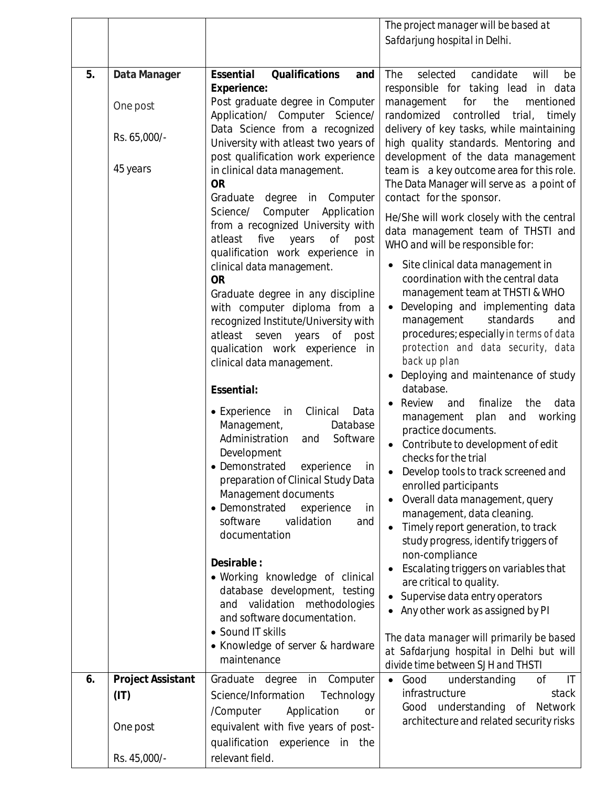|    |                           |                                                                                                                                                                                                                                                                                                                                                                                                                                                                    | The project manager will be based at                                                                                                                                                                                                                                                                                                                                                                                                                                                                                                              |
|----|---------------------------|--------------------------------------------------------------------------------------------------------------------------------------------------------------------------------------------------------------------------------------------------------------------------------------------------------------------------------------------------------------------------------------------------------------------------------------------------------------------|---------------------------------------------------------------------------------------------------------------------------------------------------------------------------------------------------------------------------------------------------------------------------------------------------------------------------------------------------------------------------------------------------------------------------------------------------------------------------------------------------------------------------------------------------|
|    |                           |                                                                                                                                                                                                                                                                                                                                                                                                                                                                    | Safdarjung hospital in Delhi.                                                                                                                                                                                                                                                                                                                                                                                                                                                                                                                     |
|    |                           |                                                                                                                                                                                                                                                                                                                                                                                                                                                                    |                                                                                                                                                                                                                                                                                                                                                                                                                                                                                                                                                   |
| 5. | Data Manager              | Essential<br>Qualifications<br>and                                                                                                                                                                                                                                                                                                                                                                                                                                 | The<br>selected<br>candidate<br>will<br>be                                                                                                                                                                                                                                                                                                                                                                                                                                                                                                        |
|    | One post                  | Experience:<br>Post graduate degree in Computer<br>Application/ Computer Science/                                                                                                                                                                                                                                                                                                                                                                                  | responsible for taking lead in data<br>management<br>the<br>for<br>mentioned<br>randomized<br>controlled<br>trial,<br>timely                                                                                                                                                                                                                                                                                                                                                                                                                      |
|    | Rs. 65,000/-              | Data Science from a recognized<br>University with atleast two years of<br>post qualification work experience                                                                                                                                                                                                                                                                                                                                                       | delivery of key tasks, while maintaining<br>high quality standards. Mentoring and<br>development of the data management                                                                                                                                                                                                                                                                                                                                                                                                                           |
|    | 45 years                  | in clinical data management.<br><b>OR</b>                                                                                                                                                                                                                                                                                                                                                                                                                          | team is a key outcome area for this role.<br>The Data Manager will serve as a point of                                                                                                                                                                                                                                                                                                                                                                                                                                                            |
|    |                           | Graduate<br>degree<br>in Computer                                                                                                                                                                                                                                                                                                                                                                                                                                  | contact for the sponsor.                                                                                                                                                                                                                                                                                                                                                                                                                                                                                                                          |
|    |                           | Science/ Computer Application<br>from a recognized University with<br>atleast<br>five<br>years<br>of<br>post<br>qualification work experience in                                                                                                                                                                                                                                                                                                                   | He/She will work closely with the central<br>data management team of THSTI and<br>WHO and will be responsible for:                                                                                                                                                                                                                                                                                                                                                                                                                                |
|    |                           | clinical data management.<br><b>OR</b><br>Graduate degree in any discipline<br>with computer diploma from a<br>recognized Institute/University with<br>atleast seven years<br>of post<br>qualication work experience in                                                                                                                                                                                                                                            | Site clinical data management in<br>coordination with the central data<br>management team at THSTI & WHO<br>Developing and implementing data<br>standards<br>management<br>and<br>procedures; especially in terms of data<br>protection and data security, data                                                                                                                                                                                                                                                                                   |
|    |                           | clinical data management.<br>Essential:                                                                                                                                                                                                                                                                                                                                                                                                                            | back up plan<br>Deploying and maintenance of study<br>database.                                                                                                                                                                                                                                                                                                                                                                                                                                                                                   |
|    |                           | • Experience<br>in<br>Clinical<br>Data<br>Management,<br>Database<br>Administration<br>Software<br>and<br>Development<br>• Demonstrated<br>experience<br>in<br>preparation of Clinical Study Data<br>Management documents<br>• Demonstrated<br>experience<br>in<br>validation<br>software<br>and<br>documentation<br>Desirable:<br>• Working knowledge of clinical<br>database development, testing<br>and validation methodologies<br>and software documentation. | Review<br>finalize<br>and<br>the<br>data<br>working<br>management<br>plan<br>and<br>practice documents.<br>Contribute to development of edit<br>checks for the trial<br>Develop tools to track screened and<br>enrolled participants<br>Overall data management, query<br>management, data cleaning.<br>Timely report generation, to track<br>study progress, identify triggers of<br>non-compliance<br>Escalating triggers on variables that<br>are critical to quality.<br>Supervise data entry operators<br>• Any other work as assigned by PI |
|    |                           | • Sound IT skills<br>• Knowledge of server & hardware<br>maintenance                                                                                                                                                                                                                                                                                                                                                                                               | The data manager will primarily be based<br>at Safdarjung hospital in Delhi but will<br>divide time between SJH and THSTI                                                                                                                                                                                                                                                                                                                                                                                                                         |
| 6. | Project Assistant<br>(IT) | Graduate degree<br>in Computer<br>Science/Information<br>Technology<br>/Computer<br>Application<br><b>or</b>                                                                                                                                                                                                                                                                                                                                                       | understanding<br>0f<br>Good<br>$\mathsf{I}\mathsf{T}$<br>$\bullet$<br>infrastructure<br>stack<br>Good understanding<br>of Network                                                                                                                                                                                                                                                                                                                                                                                                                 |
|    | One post                  | equivalent with five years of post-<br>qualification experience<br>in the                                                                                                                                                                                                                                                                                                                                                                                          | architecture and related security risks                                                                                                                                                                                                                                                                                                                                                                                                                                                                                                           |
|    | Rs. 45,000/-              | relevant field.                                                                                                                                                                                                                                                                                                                                                                                                                                                    |                                                                                                                                                                                                                                                                                                                                                                                                                                                                                                                                                   |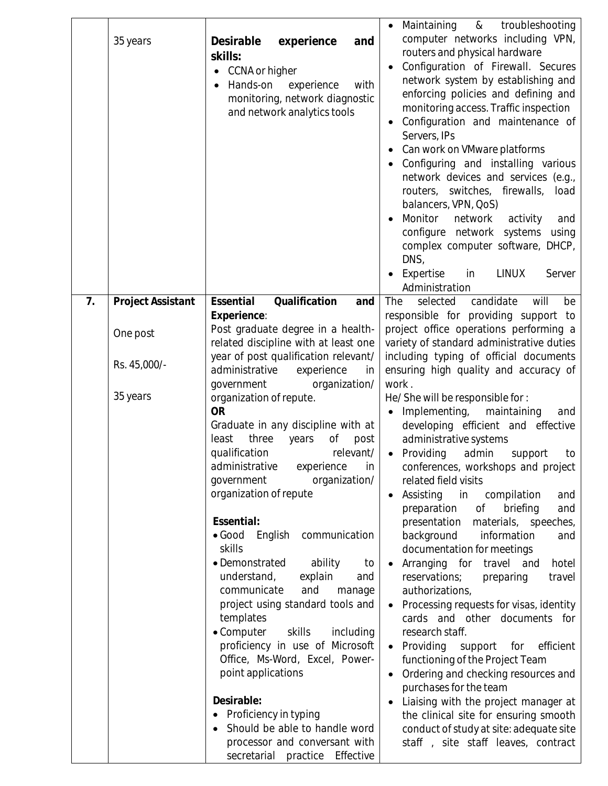|    | 35 years          | Desirable<br>experience<br>and<br>skills:<br>CCNA or higher<br>Hands-on<br>experience<br>with<br>monitoring, network diagnostic<br>and network analytics tools                                                                                                                                                                                                                                                                                                                                                                                                                                                                                                                                                                                      | Maintaining<br>&<br>troubleshooting<br>computer networks including VPN,<br>routers and physical hardware<br>Configuration of Firewall. Secures<br>network system by establishing and<br>enforcing policies and defining and<br>monitoring access. Traffic inspection<br>Configuration and maintenance of<br>Servers, IPs<br>Can work on VMware platforms<br>Configuring and installing various<br>network devices and services (e.g.,<br>routers, switches, firewalls,<br>load<br>balancers, VPN, QoS)<br>Monitor<br>network<br>activity<br>and<br>configure network systems<br>using<br>complex computer software, DHCP,<br>DNS,<br>Expertise<br>in<br>LINUX<br>Server<br>Administration                                                                                                                                                                                                                                                                |
|----|-------------------|-----------------------------------------------------------------------------------------------------------------------------------------------------------------------------------------------------------------------------------------------------------------------------------------------------------------------------------------------------------------------------------------------------------------------------------------------------------------------------------------------------------------------------------------------------------------------------------------------------------------------------------------------------------------------------------------------------------------------------------------------------|----------------------------------------------------------------------------------------------------------------------------------------------------------------------------------------------------------------------------------------------------------------------------------------------------------------------------------------------------------------------------------------------------------------------------------------------------------------------------------------------------------------------------------------------------------------------------------------------------------------------------------------------------------------------------------------------------------------------------------------------------------------------------------------------------------------------------------------------------------------------------------------------------------------------------------------------------------|
| 7. | Project Assistant | Essential<br>Qualification<br>and<br>Experience:<br>Post graduate degree in a health-                                                                                                                                                                                                                                                                                                                                                                                                                                                                                                                                                                                                                                                               | The<br>candidate<br>selected<br>will<br>be<br>responsible for providing support to<br>project office operations performing a                                                                                                                                                                                                                                                                                                                                                                                                                                                                                                                                                                                                                                                                                                                                                                                                                             |
|    | One post          | related discipline with at least one                                                                                                                                                                                                                                                                                                                                                                                                                                                                                                                                                                                                                                                                                                                | variety of standard administrative duties                                                                                                                                                                                                                                                                                                                                                                                                                                                                                                                                                                                                                                                                                                                                                                                                                                                                                                                |
|    | Rs. 45,000/-      | year of post qualification relevant/<br>administrative<br>experience<br>in<br>organization/<br>government                                                                                                                                                                                                                                                                                                                                                                                                                                                                                                                                                                                                                                           | including typing of official documents<br>ensuring high quality and accuracy of<br>work.                                                                                                                                                                                                                                                                                                                                                                                                                                                                                                                                                                                                                                                                                                                                                                                                                                                                 |
|    | 35 years          | organization of repute.<br><b>OR</b><br>Graduate in any discipline with at<br>three years<br>Οf<br>least<br>post<br>qualification<br>relevant/<br>administrative<br>experience<br>in<br>government<br>organization/<br>organization of repute<br>Essential:<br>$\bullet$ Good<br>English<br>communication<br>skills<br>• Demonstrated<br>ability<br>to<br>understand,<br>explain<br>and<br>communicate<br>and<br>manage<br>project using standard tools and<br>templates<br>• Computer<br>skills<br>including<br>proficiency in use of Microsoft<br>Office, Ms-Word, Excel, Power-<br>point applications<br>Desirable:<br>Proficiency in typing<br>Should be able to handle word<br>processor and conversant with<br>secretarial practice Effective | He/She will be responsible for:<br>Implementing,<br>maintaining<br>and<br>developing efficient and effective<br>administrative systems<br>• Providing<br>admin<br>support<br>to<br>conferences, workshops and project<br>related field visits<br>Assisting<br>in<br>compilation<br>and<br>preparation<br>of<br>briefing<br>and<br>materials, speeches,<br>presentation<br>background<br>information<br>and<br>documentation for meetings<br>Arranging for travel and<br>hotel<br>reservations;<br>preparing<br>travel<br>authorizations,<br>Processing requests for visas, identity<br>cards and other documents for<br>research staff.<br>• Providing<br>support for<br>efficient<br>functioning of the Project Team<br>Ordering and checking resources and<br>purchases for the team<br>Liaising with the project manager at<br>the clinical site for ensuring smooth<br>conduct of study at site: adequate site<br>staff, site staff leaves, contract |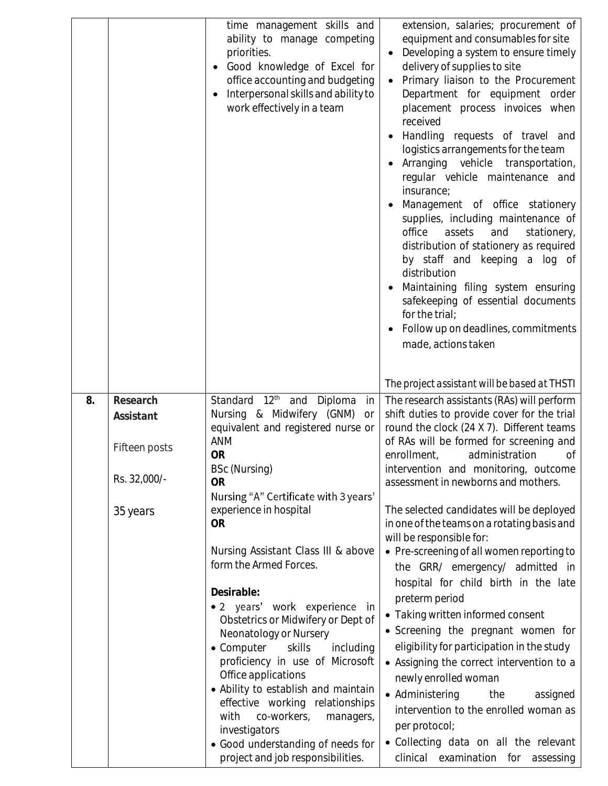|    |                                                                    | time management skills and<br>ability to manage competing<br>priorities.<br>Good knowledge of Excel for<br>office accounting and budgeting<br>Interpersonal skills and ability to<br>work effectively in a team                                                                                                                                                                                                                                                                                                                                                                                                                                                                                                                                                       | extension, salaries; procurement of<br>equipment and consumables for site<br>Developing a system to ensure timely<br>delivery of supplies to site<br>Primary liaison to the Procurement<br>Department for equipment order<br>placement process invoices when<br>received<br>Handling requests of travel and<br>logistics arrangements for the team<br>Arranging vehicle transportation,<br>regular vehicle maintenance and<br>insurance;<br>Management of office stationery<br>supplies, including maintenance of<br>office<br>assets<br>and<br>stationery,<br>distribution of stationery as required<br>by staff and keeping a log of<br>distribution<br>Maintaining filing system ensuring<br>safekeeping of essential documents<br>for the trial;<br>Follow up on deadlines, commitments<br>made, actions taken<br>The project assistant will be based at THSTI                                                                                          |
|----|--------------------------------------------------------------------|-----------------------------------------------------------------------------------------------------------------------------------------------------------------------------------------------------------------------------------------------------------------------------------------------------------------------------------------------------------------------------------------------------------------------------------------------------------------------------------------------------------------------------------------------------------------------------------------------------------------------------------------------------------------------------------------------------------------------------------------------------------------------|-------------------------------------------------------------------------------------------------------------------------------------------------------------------------------------------------------------------------------------------------------------------------------------------------------------------------------------------------------------------------------------------------------------------------------------------------------------------------------------------------------------------------------------------------------------------------------------------------------------------------------------------------------------------------------------------------------------------------------------------------------------------------------------------------------------------------------------------------------------------------------------------------------------------------------------------------------------|
| 8. | Research<br>Assistant<br>Fifteen posts<br>Rs. 32,000/-<br>35 years | $12^{\text{th}}$<br>Diploma<br>Standard<br>and<br>in<br>Nursing & Midwifery (GNM)<br><b>or</b><br>equivalent and registered nurse or<br><b>ANM</b><br><b>OR</b><br>BSc (Nursing)<br><b>OR</b><br>Nursing "A" Certificate with 3 years'<br>experience in hospital<br><b>OR</b><br>Nursing Assistant Class III & above<br>form the Armed Forces.<br>Desirable:<br>• 2 years' work experience in<br>Obstetrics or Midwifery or Dept of<br>Neonatology or Nursery<br>• Computer<br>skills<br>including<br>proficiency in use of Microsoft<br>Office applications<br>• Ability to establish and maintain<br>effective working relationships<br>co-workers,<br>with<br>managers,<br>investigators<br>• Good understanding of needs for<br>project and job responsibilities. | The research assistants (RAs) will perform<br>shift duties to provide cover for the trial<br>round the clock (24 X 7). Different teams<br>of RAs will be formed for screening and<br>enrollment,<br>administration<br>Оf<br>intervention and monitoring, outcome<br>assessment in newborns and mothers.<br>The selected candidates will be deployed<br>in one of the teams on a rotating basis and<br>will be responsible for:<br>• Pre-screening of all women reporting to<br>the GRR/ emergency/ admitted in<br>hospital for child birth in the late<br>preterm period<br>• Taking written informed consent<br>• Screening the pregnant women for<br>eligibility for participation in the study<br>• Assigning the correct intervention to a<br>newly enrolled woman<br>• Administering<br>the<br>assigned<br>intervention to the enrolled woman as<br>per protocol;<br>• Collecting data on all the relevant<br>examination for<br>clinical<br>assessing |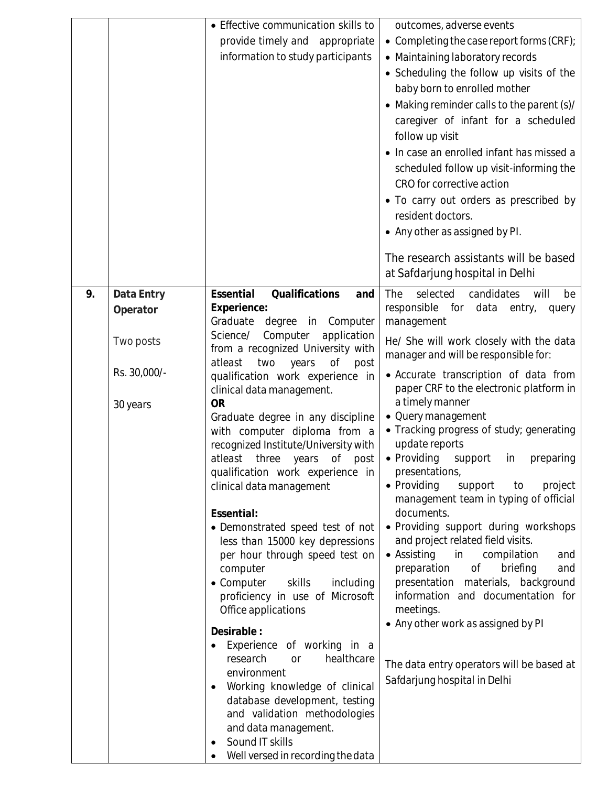|                                                                       | • Effective communication skills to<br>provide timely and appropriate<br>information to study participants                                                                                                                                                                                                                                                                                                                                                                                                                                                                                                                                                                                                                                                                                                                                                                                                                                                                                                            | outcomes, adverse events<br>• Completing the case report forms (CRF);<br>• Maintaining laboratory records<br>• Scheduling the follow up visits of the<br>baby born to enrolled mother<br>• Making reminder calls to the parent (s)/<br>caregiver of infant for a scheduled<br>follow up visit<br>• In case an enrolled infant has missed a<br>scheduled follow up visit-informing the<br>CRO for corrective action<br>• To carry out orders as prescribed by<br>resident doctors.<br>• Any other as assigned by PI.<br>The research assistants will be based<br>at Safdarjung hospital in Delhi                                                                                                                                                                                                                                                                                                                              |
|-----------------------------------------------------------------------|-----------------------------------------------------------------------------------------------------------------------------------------------------------------------------------------------------------------------------------------------------------------------------------------------------------------------------------------------------------------------------------------------------------------------------------------------------------------------------------------------------------------------------------------------------------------------------------------------------------------------------------------------------------------------------------------------------------------------------------------------------------------------------------------------------------------------------------------------------------------------------------------------------------------------------------------------------------------------------------------------------------------------|------------------------------------------------------------------------------------------------------------------------------------------------------------------------------------------------------------------------------------------------------------------------------------------------------------------------------------------------------------------------------------------------------------------------------------------------------------------------------------------------------------------------------------------------------------------------------------------------------------------------------------------------------------------------------------------------------------------------------------------------------------------------------------------------------------------------------------------------------------------------------------------------------------------------------|
| 9.<br>Data Entry<br>Operator<br>Two posts<br>Rs. 30,000/-<br>30 years | Essential<br>Qualifications<br>and<br>Experience:<br>Graduate degree in Computer<br>Science/<br>Computer<br>application<br>from a recognized University with<br>atleast<br>two<br>years<br>Оf<br>post<br>qualification work experience in<br>clinical data management.<br><b>OR</b><br>Graduate degree in any discipline<br>with computer diploma from a<br>recognized Institute/University with<br>atleast three years of post<br>qualification work experience in<br>clinical data management<br>Essential:<br>• Demonstrated speed test of not<br>less than 15000 key depressions<br>per hour through speed test on<br>computer<br>• Computer<br>skills<br>including<br>proficiency in use of Microsoft<br>Office applications<br>Desirable:<br>Experience of working in a<br>research<br>healthcare<br><b>Or</b><br>environment<br>Working knowledge of clinical<br>database development, testing<br>and validation methodologies<br>and data management.<br>Sound IT skills<br>Well versed in recording the data | The<br>selected<br>candidates<br>will<br>be<br>responsible<br>data<br>for<br>entry,<br>query<br>management<br>He/ She will work closely with the data<br>manager and will be responsible for:<br>• Accurate transcription of data from<br>paper CRF to the electronic platform in<br>a timely manner<br>• Query management<br>• Tracking progress of study; generating<br>update reports<br>• Providing support in preparing<br>presentations,<br>• Providing<br>project<br>support<br>to<br>management team in typing of official<br>documents.<br>• Providing support during workshops<br>and project related field visits.<br>· Assisting in compilation<br>and<br>preparation<br>$\circ$ f<br>briefing<br>and<br>presentation materials, background<br>information and documentation for<br>meetings.<br>• Any other work as assigned by PI<br>The data entry operators will be based at<br>Safdarjung hospital in Delhi |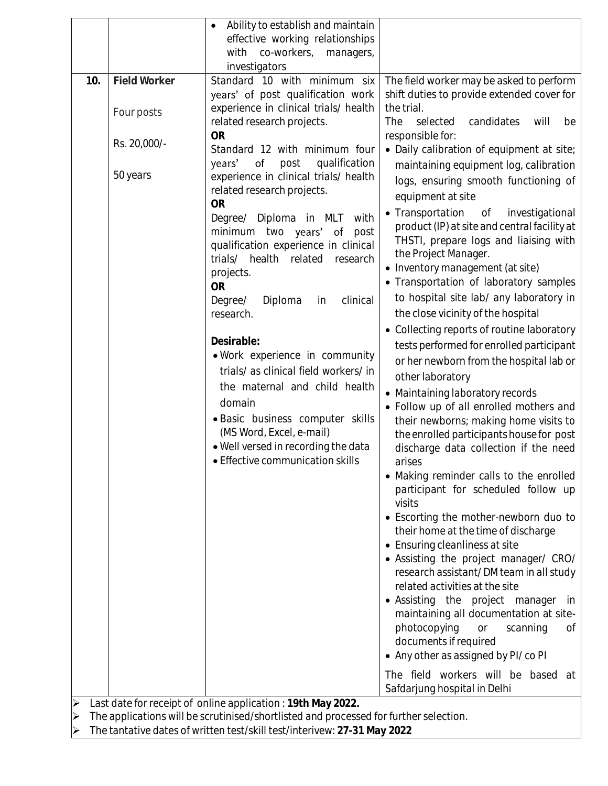|     |                                                                                                                                                      | Ability to establish and maintain<br>effective working relationships                                                                                                                                                                                                                                                                                                                                                                                                                                              |                                                                                                                                                                                                                                                                                                                                                                                                                                                                                                                                                                                                                                                                                                                                                                                                                                                                                                                                                                                                                                                                                                                                |
|-----|------------------------------------------------------------------------------------------------------------------------------------------------------|-------------------------------------------------------------------------------------------------------------------------------------------------------------------------------------------------------------------------------------------------------------------------------------------------------------------------------------------------------------------------------------------------------------------------------------------------------------------------------------------------------------------|--------------------------------------------------------------------------------------------------------------------------------------------------------------------------------------------------------------------------------------------------------------------------------------------------------------------------------------------------------------------------------------------------------------------------------------------------------------------------------------------------------------------------------------------------------------------------------------------------------------------------------------------------------------------------------------------------------------------------------------------------------------------------------------------------------------------------------------------------------------------------------------------------------------------------------------------------------------------------------------------------------------------------------------------------------------------------------------------------------------------------------|
|     |                                                                                                                                                      | with<br>co-workers, managers,<br>investigators                                                                                                                                                                                                                                                                                                                                                                                                                                                                    |                                                                                                                                                                                                                                                                                                                                                                                                                                                                                                                                                                                                                                                                                                                                                                                                                                                                                                                                                                                                                                                                                                                                |
| 10. | Field Worker                                                                                                                                         | Standard 10 with minimum six<br>years' of post qualification work                                                                                                                                                                                                                                                                                                                                                                                                                                                 | The field worker may be asked to perform<br>shift duties to provide extended cover for                                                                                                                                                                                                                                                                                                                                                                                                                                                                                                                                                                                                                                                                                                                                                                                                                                                                                                                                                                                                                                         |
|     | Four posts                                                                                                                                           | experience in clinical trials/ health<br>related research projects.                                                                                                                                                                                                                                                                                                                                                                                                                                               | the trial.<br><b>The</b><br>selected<br>candidates<br>will<br>be                                                                                                                                                                                                                                                                                                                                                                                                                                                                                                                                                                                                                                                                                                                                                                                                                                                                                                                                                                                                                                                               |
|     | Rs. 20,000/-                                                                                                                                         | <b>OR</b><br>Standard 12 with minimum four<br>qualification<br>years'<br>of<br>post                                                                                                                                                                                                                                                                                                                                                                                                                               | responsible for:<br>• Daily calibration of equipment at site;                                                                                                                                                                                                                                                                                                                                                                                                                                                                                                                                                                                                                                                                                                                                                                                                                                                                                                                                                                                                                                                                  |
|     | 50 years                                                                                                                                             | experience in clinical trials/ health<br>related research projects.<br><b>OR</b>                                                                                                                                                                                                                                                                                                                                                                                                                                  | maintaining equipment log, calibration<br>logs, ensuring smooth functioning of<br>equipment at site                                                                                                                                                                                                                                                                                                                                                                                                                                                                                                                                                                                                                                                                                                                                                                                                                                                                                                                                                                                                                            |
|     |                                                                                                                                                      | Degree/ Diploma in MLT<br>with<br>minimum two years' of<br>post<br>qualification experience in clinical<br>trials/<br>health<br>related<br>research<br>projects.<br><b>OR</b><br>Degree/<br>Diploma<br>clinical<br>in<br>research.<br>Desirable:<br>. Work experience in community<br>trials/ as clinical field workers/ in<br>the maternal and child health<br>domain<br>· Basic business computer skills<br>(MS Word, Excel, e-mail)<br>. Well versed in recording the data<br>• Effective communication skills | • Transportation of<br>investigational<br>product (IP) at site and central facility at<br>THSTI, prepare logs and liaising with<br>the Project Manager.<br>• Inventory management (at site)<br>• Transportation of laboratory samples<br>to hospital site lab/ any laboratory in<br>the close vicinity of the hospital<br>• Collecting reports of routine laboratory<br>tests performed for enrolled participant<br>or her newborn from the hospital lab or<br>other laboratory<br>• Maintaining laboratory records<br>• Follow up of all enrolled mothers and<br>their newborns; making home visits to<br>the enrolled participants house for post<br>discharge data collection if the need<br>arises<br>• Making reminder calls to the enrolled<br>participant for scheduled follow up<br>visits<br>• Escorting the mother-newborn duo to<br>their home at the time of discharge<br>• Ensuring cleanliness at site<br>• Assisting the project manager/ CRO/<br>research assistant/ DM team in all study<br>related activities at the site<br>• Assisting the project manager<br>in<br>maintaining all documentation at site- |
|     |                                                                                                                                                      |                                                                                                                                                                                                                                                                                                                                                                                                                                                                                                                   | photocopying<br>or<br>scanning<br>Οf<br>documents if required<br>• Any other as assigned by PI/ co PI                                                                                                                                                                                                                                                                                                                                                                                                                                                                                                                                                                                                                                                                                                                                                                                                                                                                                                                                                                                                                          |
|     |                                                                                                                                                      |                                                                                                                                                                                                                                                                                                                                                                                                                                                                                                                   | The field workers will be based at<br>Safdarjung hospital in Delhi                                                                                                                                                                                                                                                                                                                                                                                                                                                                                                                                                                                                                                                                                                                                                                                                                                                                                                                                                                                                                                                             |
|     | Last date for receipt of online application: 19th May 2022.<br>The applications will be scrutinised/shortlisted and processed for further selection. |                                                                                                                                                                                                                                                                                                                                                                                                                                                                                                                   |                                                                                                                                                                                                                                                                                                                                                                                                                                                                                                                                                                                                                                                                                                                                                                                                                                                                                                                                                                                                                                                                                                                                |

The tantative dates of written test/skill test/interivew: **27-31 May 2022**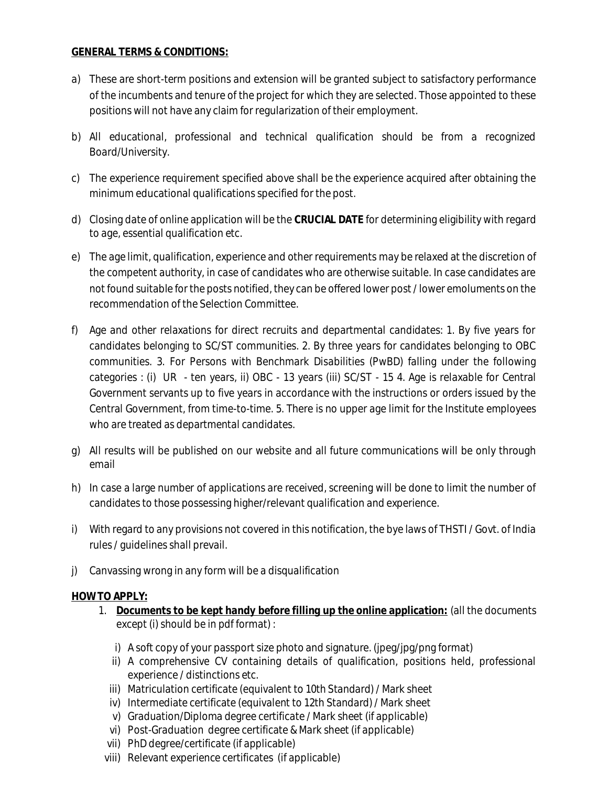## **GENERAL TERMS & CONDITIONS:**

- a) These are short-term positions and extension will be granted subject to satisfactory performance of the incumbents and tenure of the project for which they are selected. Those appointed to these positions will not have any claim for regularization of their employment.
- b) All educational, professional and technical qualification should be from a recognized Board/University.
- c) The experience requirement specified above shall be the experience acquired after obtaining the minimum educational qualifications specified for the post.
- d) Closing date of online application will be the **CRUCIAL DATE** for determining eligibility with regard to age, essential qualification etc.
- e) The age limit, qualification, experience and other requirements may be relaxed at the discretion of the competent authority, in case of candidates who are otherwise suitable. In case candidates are not found suitable for the posts notified, they can be offered lower post / lower emoluments on the recommendation of the Selection Committee.
- f) Age and other relaxations for direct recruits and departmental candidates: 1. By five years for candidates belonging to SC/ST communities. 2. By three years for candidates belonging to OBC communities. 3. For Persons with Benchmark Disabilities (PwBD) falling under the following categories : (i) UR - ten years, ii) OBC - 13 years (iii) SC/ST - 15 4. Age is relaxable for Central Government servants up to five years in accordance with the instructions or orders issued by the Central Government, from time-to-time. 5. There is no upper age limit for the Institute employees who are treated as departmental candidates.
- g) All results will be published on our website and all future communications will be only through email
- h) In case a large number of applications are received, screening will be done to limit the number of candidates to those possessing higher/relevant qualification and experience.
- i) With regard to any provisions not covered in this notification, the bye laws of THSTI / Govt. of India rules / guidelines shall prevail.
- j) Canvassing wrong in any form will be a disqualification

## **HOW TO APPLY:**

- 1. **Documents to be kept handy before filling up the online application:** (all the documents except (i) should be in pdf format) :
	- i) A soft copy of your passport size photo and signature. (jpeg/jpg/png format)
	- ii) A comprehensive CV containing details of qualification, positions held, professional experience / distinctions etc.
	- iii) Matriculation certificate (equivalent to 10th Standard) / Mark sheet
	- iv) Intermediate certificate (equivalent to 12th Standard) / Mark sheet
	- v) Graduation/Diploma degree certificate / Mark sheet (if applicable)
	- vi) Post-Graduation degree certificate & Mark sheet (if applicable)
	- vii) PhD degree/certificate (if applicable)
- viii) Relevant experience certificates (if applicable)